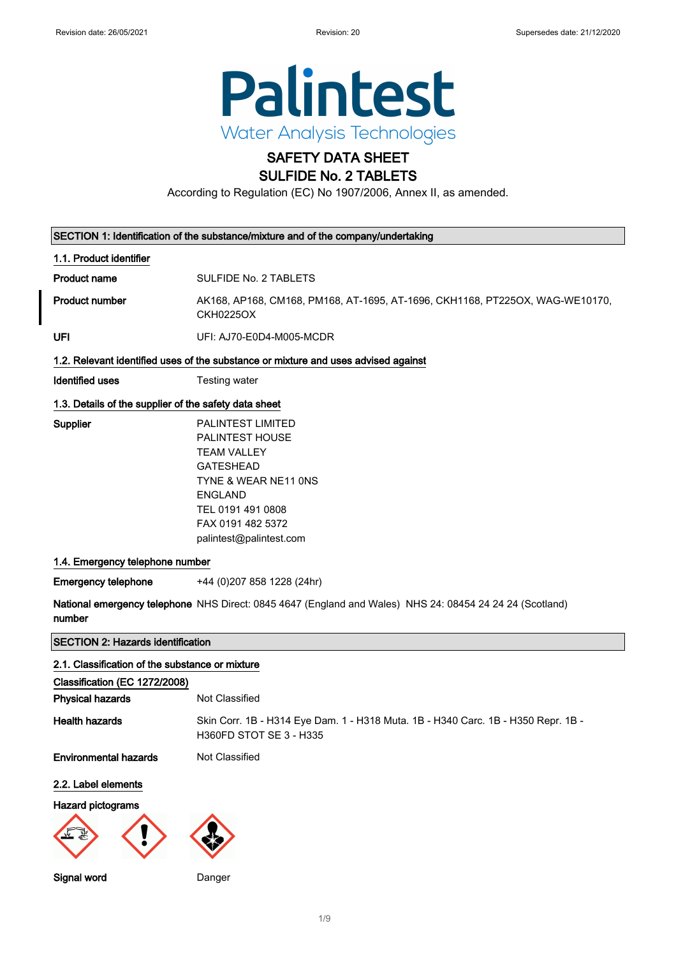

# SAFETY DATA SHEET

## SULFIDE No. 2 TABLETS

According to Regulation (EC) No 1907/2006, Annex II, as amended.

|                                                       | SECTION 1: Identification of the substance/mixture and of the company/undertaking                                                                                                                           |
|-------------------------------------------------------|-------------------------------------------------------------------------------------------------------------------------------------------------------------------------------------------------------------|
| 1.1. Product identifier                               |                                                                                                                                                                                                             |
| <b>Product name</b>                                   | SULFIDE No. 2 TABLETS                                                                                                                                                                                       |
| <b>Product number</b>                                 | AK168, AP168, CM168, PM168, AT-1695, AT-1696, CKH1168, PT225OX, WAG-WE10170,<br><b>CKH0225OX</b>                                                                                                            |
| UFI                                                   | UFI: AJ70-E0D4-M005-MCDR                                                                                                                                                                                    |
|                                                       | 1.2. Relevant identified uses of the substance or mixture and uses advised against                                                                                                                          |
| <b>Identified uses</b>                                | Testing water                                                                                                                                                                                               |
| 1.3. Details of the supplier of the safety data sheet |                                                                                                                                                                                                             |
| Supplier                                              | <b>PALINTEST LIMITED</b><br><b>PALINTEST HOUSE</b><br><b>TEAM VALLEY</b><br><b>GATESHEAD</b><br>TYNE & WEAR NE11 ONS<br><b>ENGLAND</b><br>TEL 0191 491 0808<br>FAX 0191 482 5372<br>palintest@palintest.com |
| 1.4. Emergency telephone number                       |                                                                                                                                                                                                             |
| <b>Emergency telephone</b>                            | +44 (0) 207 858 1228 (24hr)                                                                                                                                                                                 |
| number                                                | National emergency telephone NHS Direct: 0845 4647 (England and Wales) NHS 24: 08454 24 24 24 (Scotland)                                                                                                    |
| <b>SECTION 2: Hazards identification</b>              |                                                                                                                                                                                                             |
| 2.1. Classification of the substance or mixture       |                                                                                                                                                                                                             |
| Classification (EC 1272/2008)                         |                                                                                                                                                                                                             |
| <b>Physical hazards</b>                               | Not Classified                                                                                                                                                                                              |
| <b>Health hazards</b>                                 | Skin Corr. 1B - H314 Eye Dam. 1 - H318 Muta. 1B - H340 Carc. 1B - H350 Repr. 1B -<br>H360FD STOT SE 3 - H335                                                                                                |
| <b>Environmental hazards</b>                          | Not Classified                                                                                                                                                                                              |
| 2.2. Label elements                                   |                                                                                                                                                                                                             |
| <b>Hazard pictograms</b>                              |                                                                                                                                                                                                             |
|                                                       |                                                                                                                                                                                                             |
| Signal word                                           | Danger                                                                                                                                                                                                      |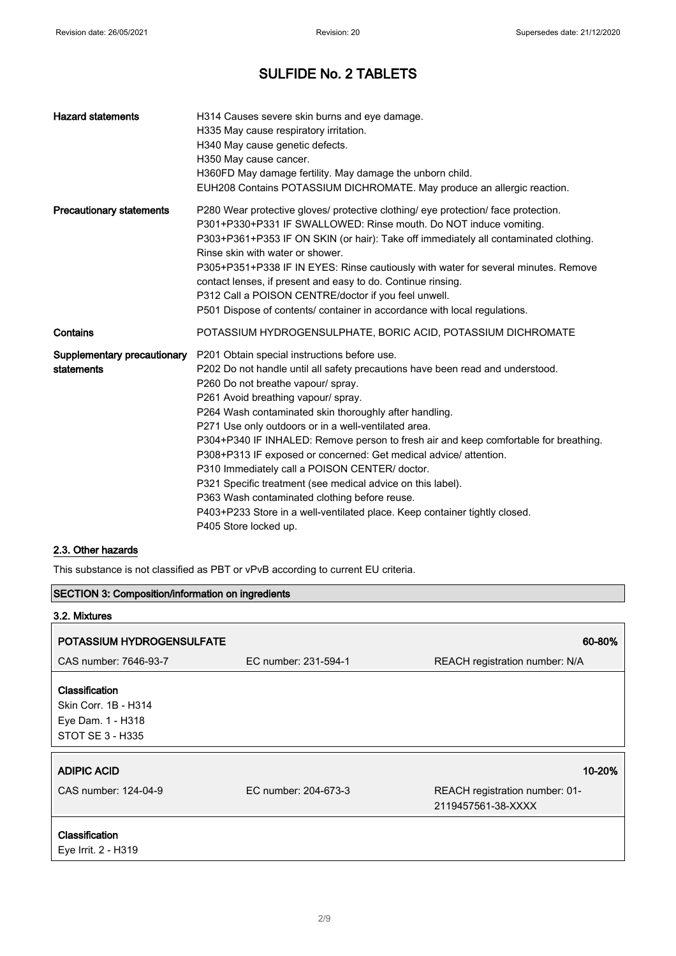| <b>Hazard statements</b>                  | H314 Causes severe skin burns and eye damage.<br>H335 May cause respiratory irritation.<br>H340 May cause genetic defects.<br>H350 May cause cancer.<br>H360FD May damage fertility. May damage the unborn child.<br>EUH208 Contains POTASSIUM DICHROMATE. May produce an allergic reaction.                                                                                                                                                                                                                                                                                                                                                                                                                                                                        |
|-------------------------------------------|---------------------------------------------------------------------------------------------------------------------------------------------------------------------------------------------------------------------------------------------------------------------------------------------------------------------------------------------------------------------------------------------------------------------------------------------------------------------------------------------------------------------------------------------------------------------------------------------------------------------------------------------------------------------------------------------------------------------------------------------------------------------|
| <b>Precautionary statements</b>           | P280 Wear protective gloves/ protective clothing/ eye protection/ face protection.<br>P301+P330+P331 IF SWALLOWED: Rinse mouth. Do NOT induce vomiting.<br>P303+P361+P353 IF ON SKIN (or hair): Take off immediately all contaminated clothing.<br>Rinse skin with water or shower.<br>P305+P351+P338 IF IN EYES: Rinse cautiously with water for several minutes. Remove<br>contact lenses, if present and easy to do. Continue rinsing.<br>P312 Call a POISON CENTRE/doctor if you feel unwell.<br>P501 Dispose of contents/ container in accordance with local regulations.                                                                                                                                                                                      |
| Contains                                  | POTASSIUM HYDROGENSULPHATE, BORIC ACID, POTASSIUM DICHROMATE                                                                                                                                                                                                                                                                                                                                                                                                                                                                                                                                                                                                                                                                                                        |
| Supplementary precautionary<br>statements | P201 Obtain special instructions before use.<br>P202 Do not handle until all safety precautions have been read and understood.<br>P260 Do not breathe vapour/ spray.<br>P261 Avoid breathing vapour/ spray.<br>P264 Wash contaminated skin thoroughly after handling.<br>P271 Use only outdoors or in a well-ventilated area.<br>P304+P340 IF INHALED: Remove person to fresh air and keep comfortable for breathing.<br>P308+P313 IF exposed or concerned: Get medical advice/ attention.<br>P310 Immediately call a POISON CENTER/ doctor.<br>P321 Specific treatment (see medical advice on this label).<br>P363 Wash contaminated clothing before reuse.<br>P403+P233 Store in a well-ventilated place. Keep container tightly closed.<br>P405 Store locked up. |

## 2.3. Other hazards

This substance is not classified as PBT or vPvB according to current EU criteria.

## SECTION 3: Composition/information on ingredients

| 3.2. Mixtures                                                                          |                      |                                                      |
|----------------------------------------------------------------------------------------|----------------------|------------------------------------------------------|
| <b>POTASSIUM HYDROGENSULFATE</b>                                                       |                      | 60-80%                                               |
| CAS number: 7646-93-7                                                                  | EC number: 231-594-1 | REACH registration number: N/A                       |
| <b>Classification</b><br>Skin Corr. 1B - H314<br>Eye Dam. 1 - H318<br>STOT SE 3 - H335 |                      |                                                      |
| <b>ADIPIC ACID</b>                                                                     |                      | 10-20%                                               |
| CAS number: 124-04-9                                                                   | EC number: 204-673-3 | REACH registration number: 01-<br>2119457561-38-XXXX |
| Classification<br>Eye Irrit. 2 - H319                                                  |                      |                                                      |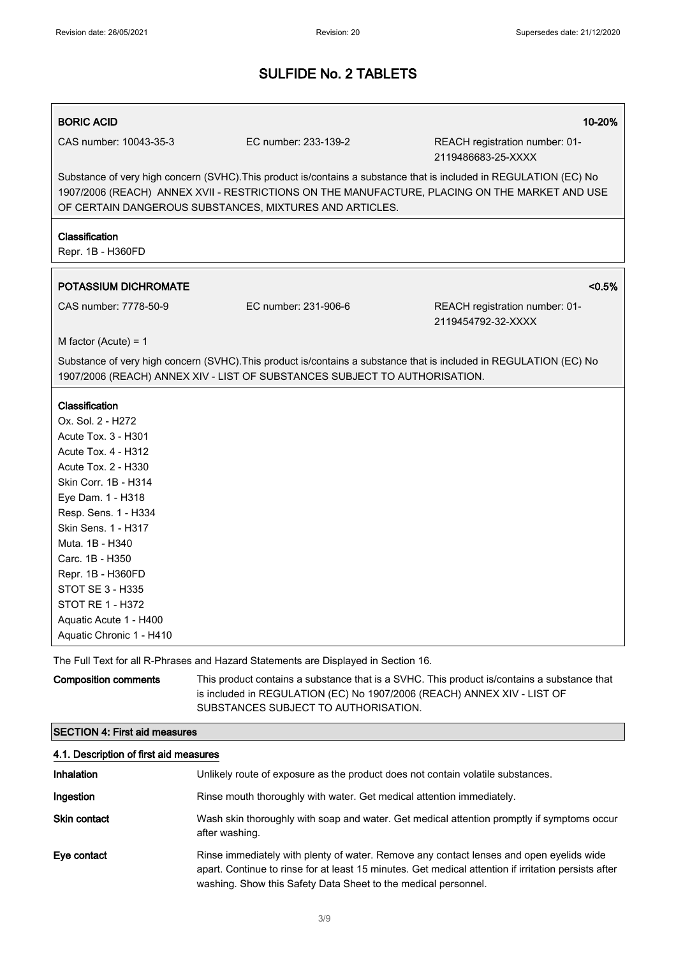## BORIC ACID 10-20%

CAS number: 10043-35-3 EC number: 233-139-2 REACH registration number: 01-

Substance of very high concern (SVHC).This product is/contains a substance that is included in REGULATION (EC) No 1907/2006 (REACH) ANNEX XVII - RESTRICTIONS ON THE MANUFACTURE, PLACING ON THE MARKET AND USE OF CERTAIN DANGEROUS SUBSTANCES, MIXTURES AND ARTICLES.

## Classification

Repr. 1B - H360FD

## POTASSIUM DICHROMATE <0.5%

CAS number: 7778-50-9 EC number: 231-906-6 REACH registration number: 01- 2119454792-32-XXXX

2119486683-25-XXXX

M factor (Acute) = 1

Substance of very high concern (SVHC).This product is/contains a substance that is included in REGULATION (EC) No 1907/2006 (REACH) ANNEX XIV - LIST OF SUBSTANCES SUBJECT TO AUTHORISATION.

#### Classification

Ox. Sol. 2 - H272 Acute Tox. 3 - H301 Acute Tox. 4 - H312 Acute Tox. 2 - H330 Skin Corr. 1B - H314 Eye Dam. 1 - H318 Resp. Sens. 1 - H334 Skin Sens. 1 - H317 Muta. 1B - H340 Carc. 1B - H350 Repr. 1B - H360FD STOT SE 3 - H335 STOT RE 1 - H372 Aquatic Acute 1 - H400 Aquatic Chronic 1 - H410

SECTION 4: First aid measures

The Full Text for all R-Phrases and Hazard Statements are Displayed in Section 16.

| Composition comments | This product contains a substance that is a SVHC. This product is/contains a substance that |  |
|----------------------|---------------------------------------------------------------------------------------------|--|
|                      | is included in REGULATION (EC) No 1907/2006 (REACH) ANNEX XIV - LIST OF                     |  |
|                      | SUBSTANCES SUBJECT TO AUTHORISATION.                                                        |  |

# 4.1. Description of first aid measures Inhalation **Infinity Contains Unlikely route of exposure as the product does not contain volatile substances. Ingestion Rinse mouth thoroughly with water. Get medical attention immediately.**

Skin contact **Wash skin thoroughly with soap and water.** Get medical attention promptly if symptoms occur after washing. Eye contact **Rinse immediately with plenty of water. Remove any contact lenses and open eyelids wide** 

apart. Continue to rinse for at least 15 minutes. Get medical attention if irritation persists after washing. Show this Safety Data Sheet to the medical personnel.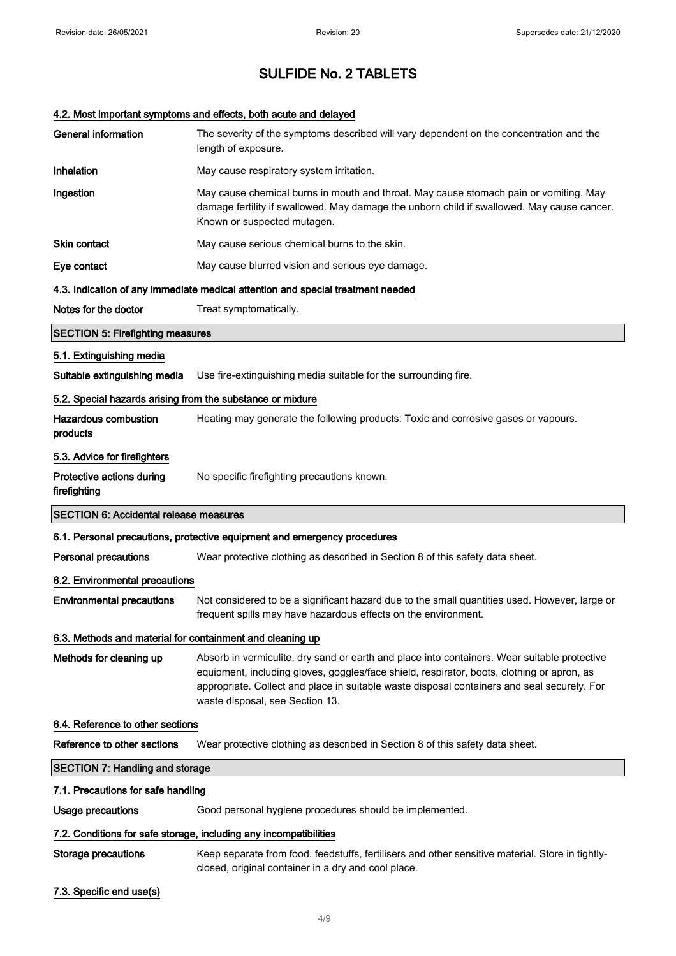## 4.2. Most important symptoms and effects, both acute and delayed

| <b>General information</b>                                 | The severity of the symptoms described will vary dependent on the concentration and the<br>length of exposure.                                                                                                                                                                                                               |
|------------------------------------------------------------|------------------------------------------------------------------------------------------------------------------------------------------------------------------------------------------------------------------------------------------------------------------------------------------------------------------------------|
| Inhalation                                                 | May cause respiratory system irritation.                                                                                                                                                                                                                                                                                     |
| Ingestion                                                  | May cause chemical burns in mouth and throat. May cause stomach pain or vomiting. May<br>damage fertility if swallowed. May damage the unborn child if swallowed. May cause cancer.<br>Known or suspected mutagen.                                                                                                           |
| <b>Skin contact</b>                                        | May cause serious chemical burns to the skin.                                                                                                                                                                                                                                                                                |
| Eye contact                                                | May cause blurred vision and serious eye damage.                                                                                                                                                                                                                                                                             |
|                                                            | 4.3. Indication of any immediate medical attention and special treatment needed                                                                                                                                                                                                                                              |
| Notes for the doctor                                       | Treat symptomatically.                                                                                                                                                                                                                                                                                                       |
| <b>SECTION 5: Firefighting measures</b>                    |                                                                                                                                                                                                                                                                                                                              |
| 5.1. Extinguishing media                                   |                                                                                                                                                                                                                                                                                                                              |
| Suitable extinguishing media                               | Use fire-extinguishing media suitable for the surrounding fire.                                                                                                                                                                                                                                                              |
| 5.2. Special hazards arising from the substance or mixture |                                                                                                                                                                                                                                                                                                                              |
| Hazardous combustion<br>products                           | Heating may generate the following products: Toxic and corrosive gases or vapours.                                                                                                                                                                                                                                           |
| 5.3. Advice for firefighters                               |                                                                                                                                                                                                                                                                                                                              |
| Protective actions during<br>firefighting                  | No specific firefighting precautions known.                                                                                                                                                                                                                                                                                  |
| <b>SECTION 6: Accidental release measures</b>              |                                                                                                                                                                                                                                                                                                                              |
|                                                            | 6.1. Personal precautions, protective equipment and emergency procedures                                                                                                                                                                                                                                                     |
| <b>Personal precautions</b>                                | Wear protective clothing as described in Section 8 of this safety data sheet.                                                                                                                                                                                                                                                |
| 6.2. Environmental precautions                             |                                                                                                                                                                                                                                                                                                                              |
| <b>Environmental precautions</b>                           | Not considered to be a significant hazard due to the small quantities used. However, large or<br>frequent spills may have hazardous effects on the environment.                                                                                                                                                              |
| 6.3. Methods and material for containment and cleaning up  |                                                                                                                                                                                                                                                                                                                              |
| Methods for cleaning up                                    | Absorb in vermiculite, dry sand or earth and place into containers. Wear suitable protective<br>equipment, including gloves, goggles/face shield, respirator, boots, clothing or apron, as<br>appropriate. Collect and place in suitable waste disposal containers and seal securely. For<br>waste disposal, see Section 13. |
| 6.4. Reference to other sections                           |                                                                                                                                                                                                                                                                                                                              |
| Reference to other sections                                | Wear protective clothing as described in Section 8 of this safety data sheet.                                                                                                                                                                                                                                                |
| <b>SECTION 7: Handling and storage</b>                     |                                                                                                                                                                                                                                                                                                                              |
| 7.1. Precautions for safe handling                         |                                                                                                                                                                                                                                                                                                                              |
| <b>Usage precautions</b>                                   | Good personal hygiene procedures should be implemented.                                                                                                                                                                                                                                                                      |
|                                                            | 7.2. Conditions for safe storage, including any incompatibilities                                                                                                                                                                                                                                                            |
| <b>Storage precautions</b>                                 | Keep separate from food, feedstuffs, fertilisers and other sensitive material. Store in tightly-                                                                                                                                                                                                                             |
|                                                            | closed, original container in a dry and cool place.                                                                                                                                                                                                                                                                          |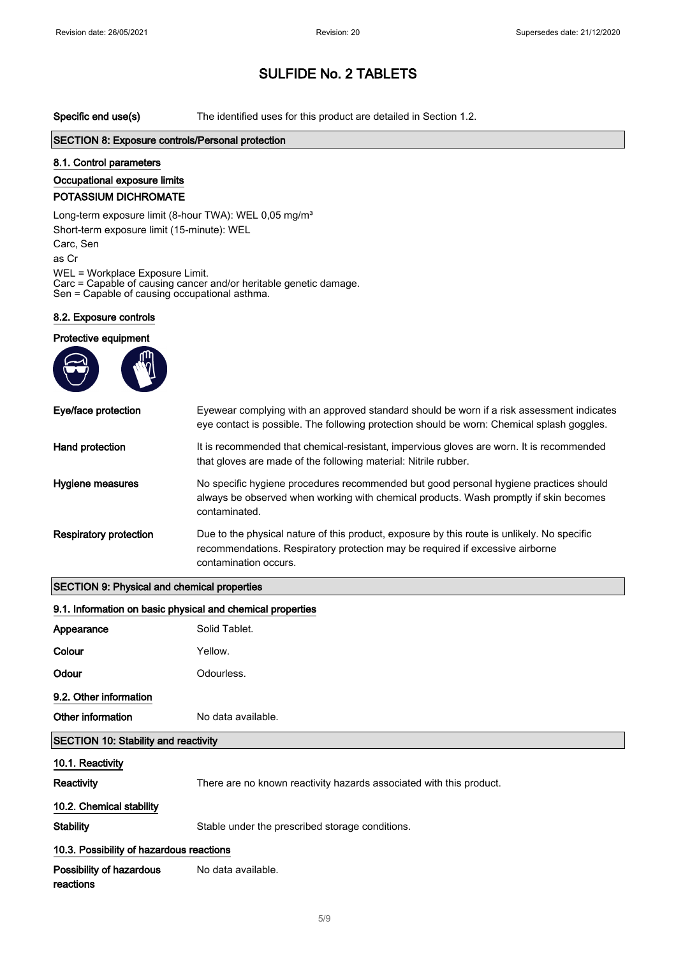Specific end use(s) The identified uses for this product are detailed in Section 1.2.

## SECTION 8: Exposure controls/Personal protection

#### 8.1. Control parameters

## Occupational exposure limits

## POTASSIUM DICHROMATE

Long-term exposure limit (8-hour TWA): WEL 0,05 mg/m<sup>3</sup> Short-term exposure limit (15-minute): WEL Carc, Sen

as Cr

WEL = Workplace Exposure Limit.

Carc = Capable of causing cancer and/or heritable genetic damage. Sen = Capable of causing occupational asthma.

#### 8.2. Exposure controls

| Protective equipment          |                                                                                                                                                                                                       |
|-------------------------------|-------------------------------------------------------------------------------------------------------------------------------------------------------------------------------------------------------|
|                               |                                                                                                                                                                                                       |
| Eye/face protection           | Eyewear complying with an approved standard should be worn if a risk assessment indicates<br>eye contact is possible. The following protection should be worn: Chemical splash goggles.               |
| Hand protection               | It is recommended that chemical-resistant, impervious gloves are worn. It is recommended<br>that gloves are made of the following material: Nitrile rubber.                                           |
| Hygiene measures              | No specific hygiene procedures recommended but good personal hygiene practices should<br>always be observed when working with chemical products. Wash promptly if skin becomes<br>contaminated.       |
| <b>Respiratory protection</b> | Due to the physical nature of this product, exposure by this route is unlikely. No specific<br>recommendations. Respiratory protection may be required if excessive airborne<br>contamination occurs. |

## SECTION 9: Physical and chemical properties

|                                             | 9.1. Information on basic physical and chemical properties          |
|---------------------------------------------|---------------------------------------------------------------------|
| Appearance                                  | Solid Tablet.                                                       |
| Colour                                      | Yellow.                                                             |
| Odour                                       | Odourless.                                                          |
| 9.2. Other information                      |                                                                     |
| Other information                           | No data available.                                                  |
| <b>SECTION 10: Stability and reactivity</b> |                                                                     |
| 10.1. Reactivity                            |                                                                     |
| <b>Reactivity</b>                           | There are no known reactivity hazards associated with this product. |
| 10.2. Chemical stability                    |                                                                     |
| <b>Stability</b>                            | Stable under the prescribed storage conditions.                     |
| 10.3. Possibility of hazardous reactions    |                                                                     |
| Possibility of hazardous<br>reactions       | No data available.                                                  |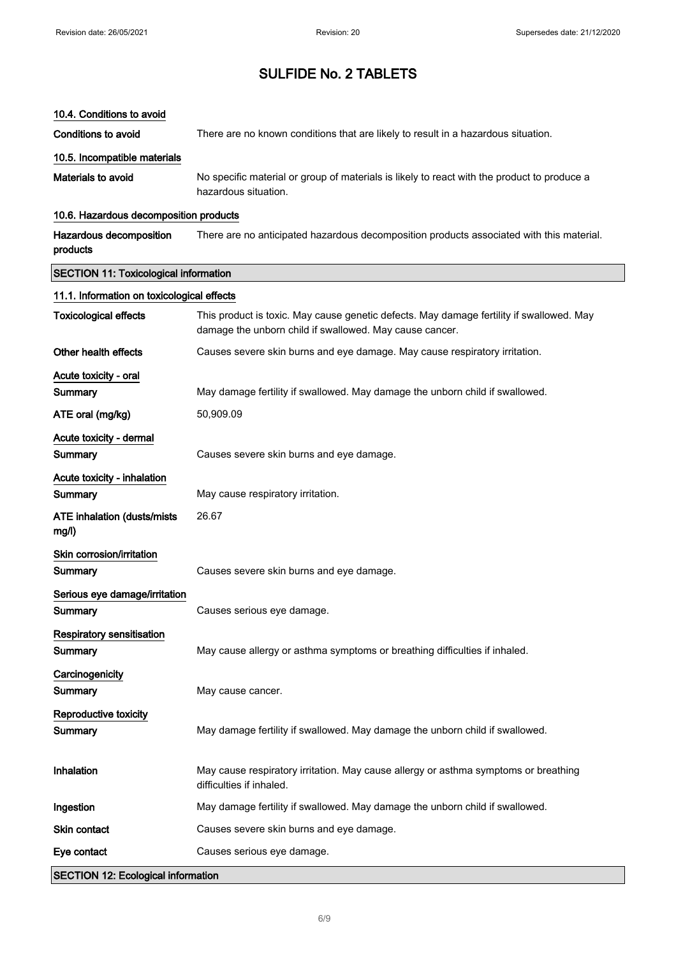| 10.4. Conditions to avoid                    |                                                                                                                                                     |
|----------------------------------------------|-----------------------------------------------------------------------------------------------------------------------------------------------------|
| Conditions to avoid                          | There are no known conditions that are likely to result in a hazardous situation.                                                                   |
| 10.5. Incompatible materials                 |                                                                                                                                                     |
| Materials to avoid                           | No specific material or group of materials is likely to react with the product to produce a<br>hazardous situation.                                 |
| 10.6. Hazardous decomposition products       |                                                                                                                                                     |
| Hazardous decomposition<br>products          | There are no anticipated hazardous decomposition products associated with this material.                                                            |
| <b>SECTION 11: Toxicological information</b> |                                                                                                                                                     |
| 11.1. Information on toxicological effects   |                                                                                                                                                     |
| <b>Toxicological effects</b>                 | This product is toxic. May cause genetic defects. May damage fertility if swallowed. May<br>damage the unborn child if swallowed. May cause cancer. |
| Other health effects                         | Causes severe skin burns and eye damage. May cause respiratory irritation.                                                                          |
| Acute toxicity - oral                        |                                                                                                                                                     |
| Summary                                      | May damage fertility if swallowed. May damage the unborn child if swallowed.                                                                        |
| ATE oral (mg/kg)                             | 50,909.09                                                                                                                                           |
| Acute toxicity - dermal<br>Summary           | Causes severe skin burns and eye damage.                                                                                                            |
| Acute toxicity - inhalation                  |                                                                                                                                                     |
| Summary                                      | May cause respiratory irritation.                                                                                                                   |
| <b>ATE inhalation (dusts/mists</b><br>mg/l)  | 26.67                                                                                                                                               |
| Skin corrosion/irritation<br>Summary         | Causes severe skin burns and eye damage.                                                                                                            |
|                                              |                                                                                                                                                     |
| Serious eye damage/irritation<br>Summary     | Causes serious eye damage.                                                                                                                          |

Respiratory sensitisation Summary May cause allergy or asthma symptoms or breathing difficulties if inhaled.

| Carcinogenicity       |                                                                                                                 |
|-----------------------|-----------------------------------------------------------------------------------------------------------------|
| Summary               | May cause cancer.                                                                                               |
| Reproductive toxicity |                                                                                                                 |
| Summary               | May damage fertility if swallowed. May damage the unborn child if swallowed.                                    |
| Inhalation            | May cause respiratory irritation. May cause allergy or asthma symptoms or breathing<br>difficulties if inhaled. |
| Ingestion             | May damage fertility if swallowed. May damage the unborn child if swallowed.                                    |
| Skin contact          | Causes severe skin burns and eye damage.                                                                        |
| Eve contact           | Causes serious eye damage.                                                                                      |

SECTION 12: Ecological information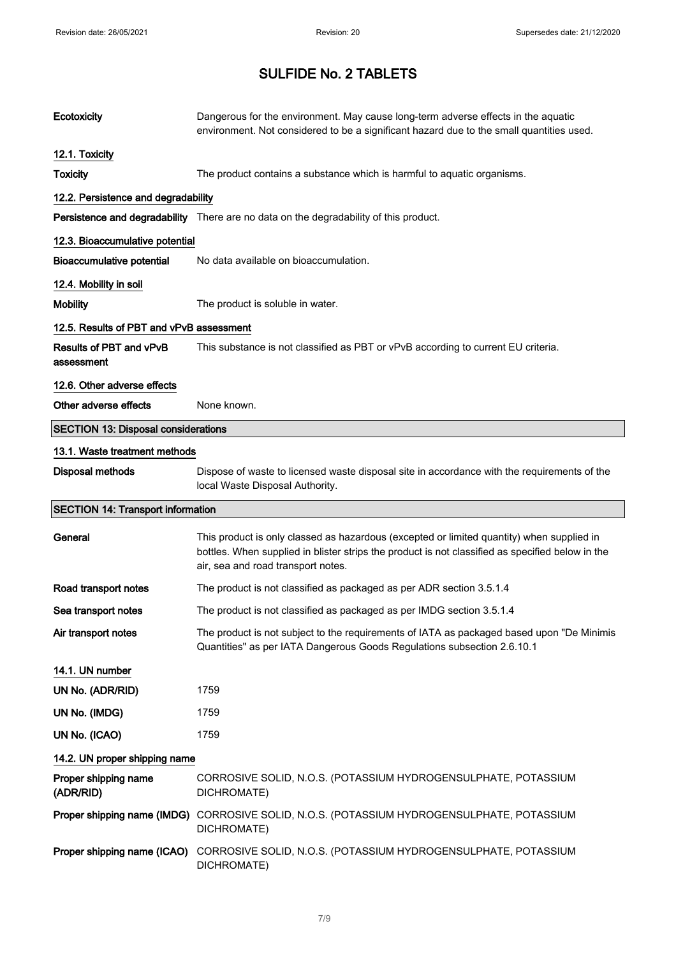# SULFIDE No. 2 TABLETS

| Ecotoxicity                                | Dangerous for the environment. May cause long-term adverse effects in the aquatic<br>environment. Not considered to be a significant hazard due to the small quantities used.                                                       |
|--------------------------------------------|-------------------------------------------------------------------------------------------------------------------------------------------------------------------------------------------------------------------------------------|
| 12.1. Toxicity                             |                                                                                                                                                                                                                                     |
| <b>Toxicity</b>                            | The product contains a substance which is harmful to aquatic organisms.                                                                                                                                                             |
| 12.2. Persistence and degradability        |                                                                                                                                                                                                                                     |
|                                            | Persistence and degradability There are no data on the degradability of this product.                                                                                                                                               |
| 12.3. Bioaccumulative potential            |                                                                                                                                                                                                                                     |
| <b>Bioaccumulative potential</b>           | No data available on bioaccumulation.                                                                                                                                                                                               |
| 12.4. Mobility in soil                     |                                                                                                                                                                                                                                     |
| <b>Mobility</b>                            | The product is soluble in water.                                                                                                                                                                                                    |
| 12.5. Results of PBT and vPvB assessment   |                                                                                                                                                                                                                                     |
| Results of PBT and vPvB<br>assessment      | This substance is not classified as PBT or vPvB according to current EU criteria.                                                                                                                                                   |
| 12.6. Other adverse effects                |                                                                                                                                                                                                                                     |
| Other adverse effects                      | None known.                                                                                                                                                                                                                         |
| <b>SECTION 13: Disposal considerations</b> |                                                                                                                                                                                                                                     |
| 13.1. Waste treatment methods              |                                                                                                                                                                                                                                     |
| <b>Disposal methods</b>                    | Dispose of waste to licensed waste disposal site in accordance with the requirements of the<br>local Waste Disposal Authority.                                                                                                      |
|                                            |                                                                                                                                                                                                                                     |
| <b>SECTION 14: Transport information</b>   |                                                                                                                                                                                                                                     |
| General                                    | This product is only classed as hazardous (excepted or limited quantity) when supplied in<br>bottles. When supplied in blister strips the product is not classified as specified below in the<br>air, sea and road transport notes. |
| Road transport notes                       | The product is not classified as packaged as per ADR section 3.5.1.4                                                                                                                                                                |
| Sea transport notes                        | The product is not classified as packaged as per IMDG section 3.5.1.4                                                                                                                                                               |
| Air transport notes                        | The product is not subject to the requirements of IATA as packaged based upon "De Minimis"<br>Quantities" as per IATA Dangerous Goods Regulations subsection 2.6.10.1                                                               |
| 14.1. UN number                            |                                                                                                                                                                                                                                     |
| UN No. (ADR/RID)                           | 1759                                                                                                                                                                                                                                |
| UN No. (IMDG)                              | 1759                                                                                                                                                                                                                                |
| UN No. (ICAO)                              | 1759                                                                                                                                                                                                                                |
| 14.2. UN proper shipping name              |                                                                                                                                                                                                                                     |
| Proper shipping name<br>(ADR/RID)          | CORROSIVE SOLID, N.O.S. (POTASSIUM HYDROGENSULPHATE, POTASSIUM<br>DICHROMATE)                                                                                                                                                       |
| Proper shipping name (IMDG)                | CORROSIVE SOLID, N.O.S. (POTASSIUM HYDROGENSULPHATE, POTASSIUM<br>DICHROMATE)                                                                                                                                                       |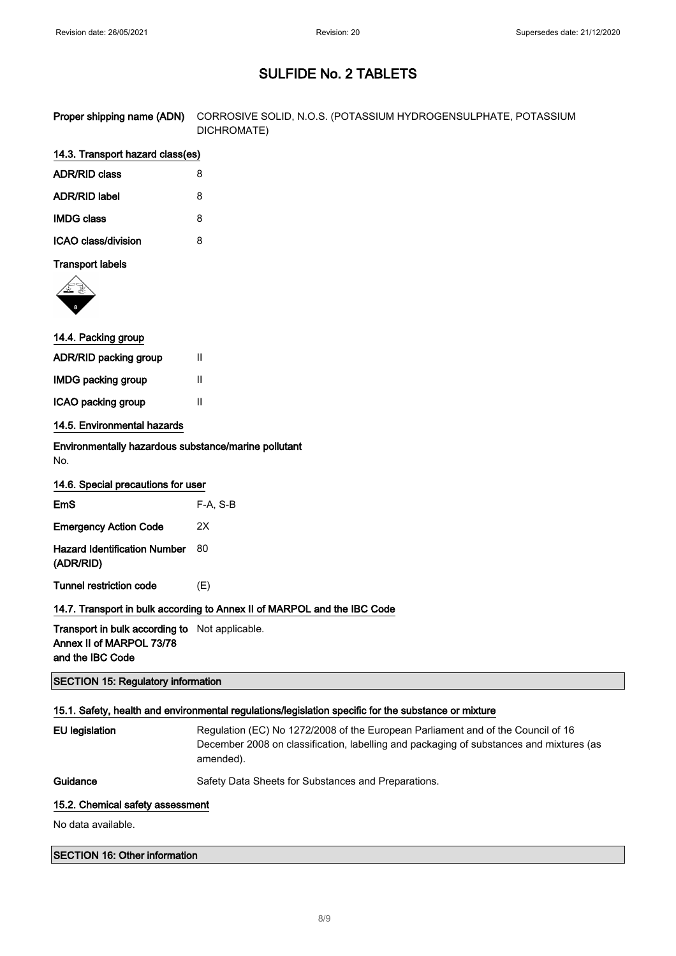| Proper shipping name (ADN) CORROSIVE SOLID, N.O.S. (POTASSIUM HYDROGENSULPHATE, POTASSIUM |
|-------------------------------------------------------------------------------------------|
| DICHROMATE)                                                                               |

| 14.3. Transport hazard class(es) |   |  |
|----------------------------------|---|--|
| <b>ADR/RID class</b>             | 8 |  |
| <b>ADR/RID label</b>             | 8 |  |
| <b>IMDG class</b>                | 8 |  |
| ICAO class/division<br>8         |   |  |
|                                  |   |  |

## Transport labels



| 14.4. Packing group          |   |
|------------------------------|---|
| <b>ADR/RID packing group</b> | Ш |
| <b>IMDG packing group</b>    | Ш |
| ICAO packing group           | Ш |
| 14.5. Environmental hazards  |   |

Environmentally hazardous substance/marine pollutant No.

| 14.6. Special precautions for user               |          |
|--------------------------------------------------|----------|
| EmS                                              | F-A. S-B |
| <b>Emergency Action Code</b>                     | 2X       |
| <b>Hazard Identification Number</b><br>(ADR/RID) | 80       |
| Tunnel restriction code                          | (E)      |

#### 14.7. Transport in bulk according to Annex II of MARPOL and the IBC Code

Transport in bulk according to Not applicable. Annex II of MARPOL 73/78 and the IBC Code

## SECTION 15: Regulatory information

## 15.1. Safety, health and environmental regulations/legislation specific for the substance or mixture

EU legislation Regulation (EC) No 1272/2008 of the European Parliament and of the Council of 16 December 2008 on classification, labelling and packaging of substances and mixtures (as amended).

## Guidance Safety Data Sheets for Substances and Preparations.

## 15.2. Chemical safety assessment

No data available.

## SECTION 16: Other information